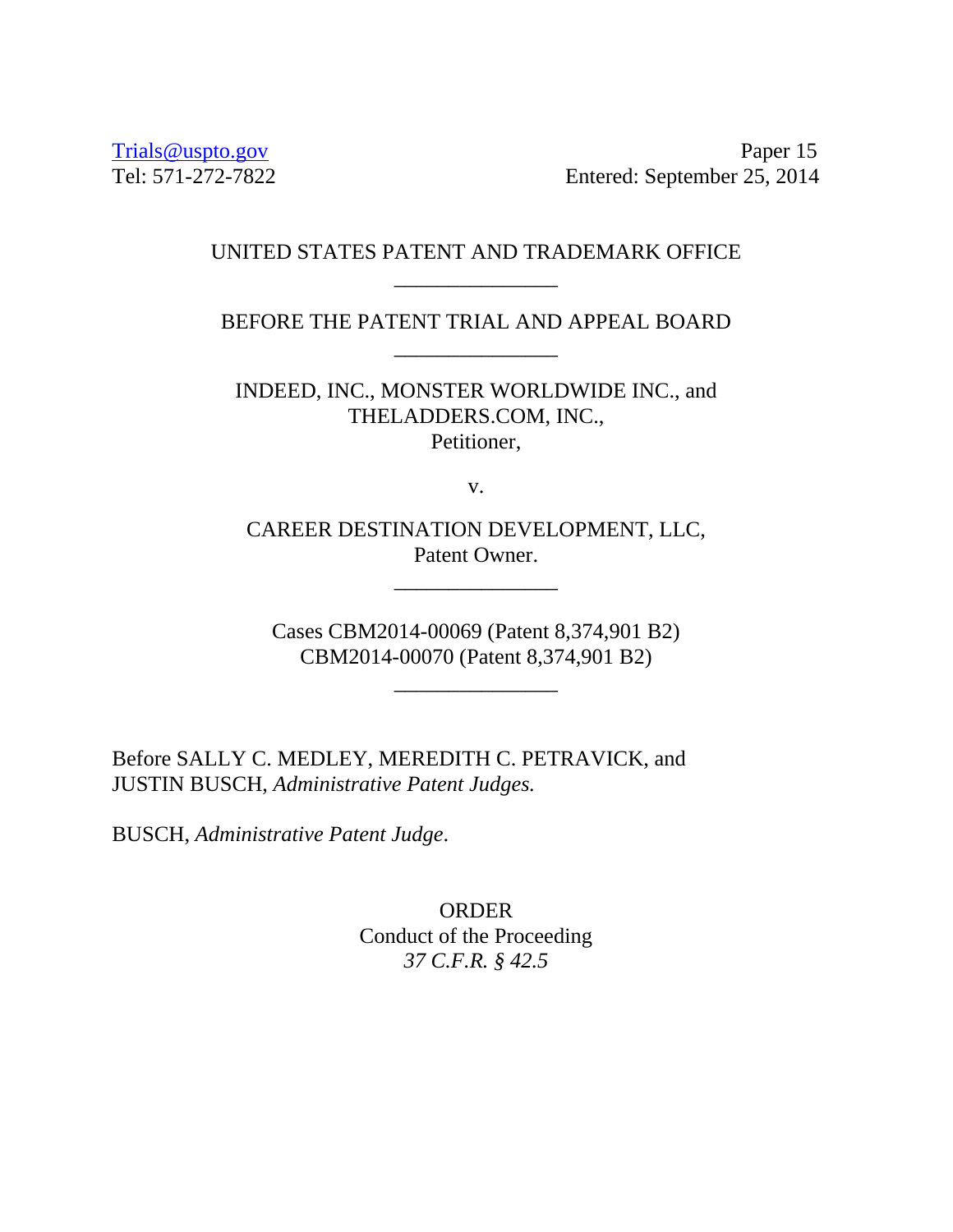Trials@uspto.gov Paper 15 Tel: 571-272-7822 Entered: September 25, 2014

# UNITED STATES PATENT AND TRADEMARK OFFICE \_\_\_\_\_\_\_\_\_\_\_\_\_\_\_

BEFORE THE PATENT TRIAL AND APPEAL BOARD \_\_\_\_\_\_\_\_\_\_\_\_\_\_\_

INDEED, INC., MONSTER WORLDWIDE INC., and THELADDERS.COM, INC., Petitioner,

v.

CAREER DESTINATION DEVELOPMENT, LLC, Patent Owner.

\_\_\_\_\_\_\_\_\_\_\_\_\_\_\_

Cases CBM2014-00069 (Patent 8,374,901 B2) CBM2014-00070 (Patent 8,374,901 B2)

\_\_\_\_\_\_\_\_\_\_\_\_\_\_\_

Before SALLY C. MEDLEY, MEREDITH C. PETRAVICK, and JUSTIN BUSCH, *Administrative Patent Judges.* 

BUSCH, *Administrative Patent Judge*.

ORDER Conduct of the Proceeding *37 C.F.R. § 42.5*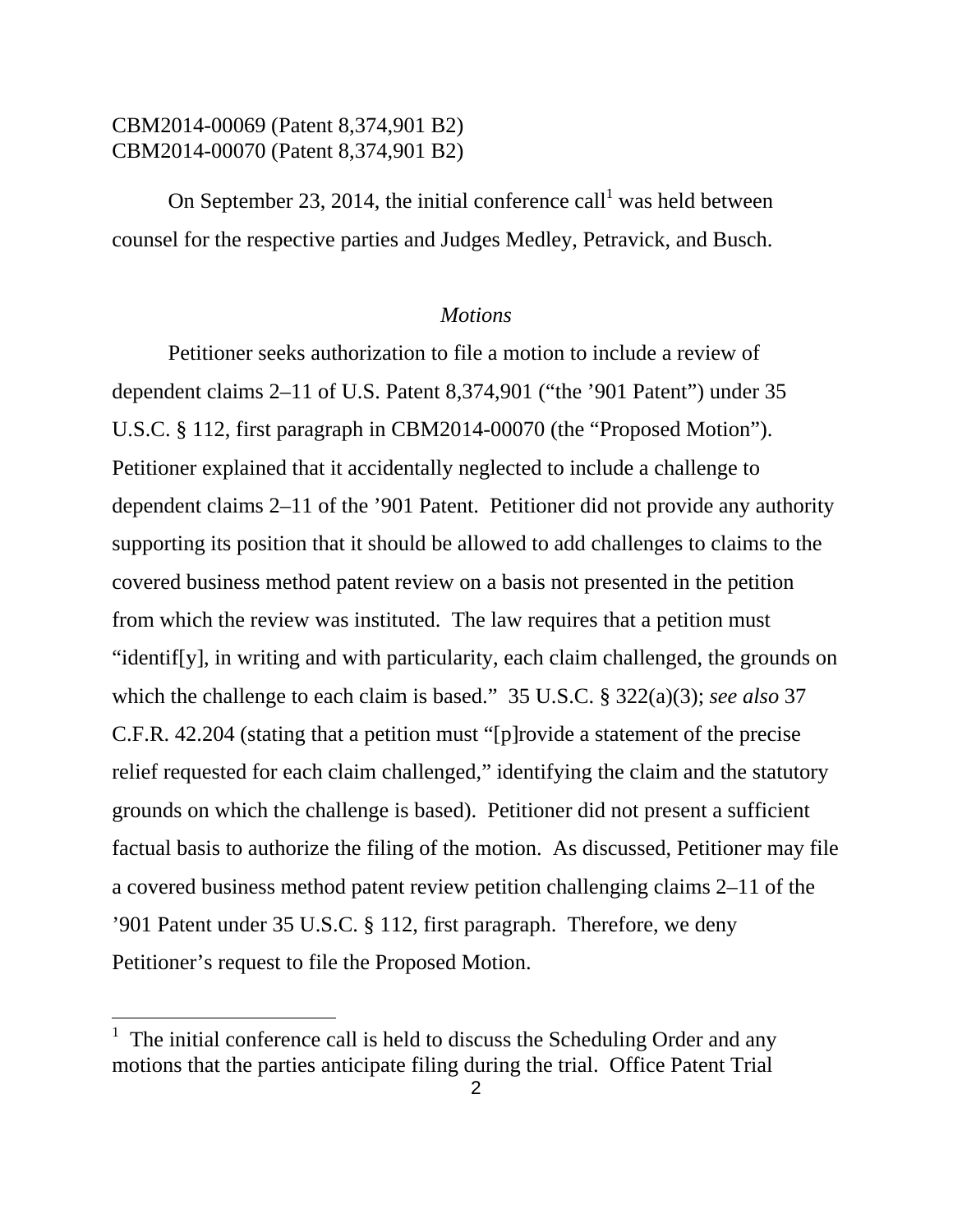# CBM2014-00069 (Patent 8,374,901 B2) CBM2014-00070 (Patent 8,374,901 B2)

On September 23, 2014, the initial conference call<sup>1</sup> was held between counsel for the respective parties and Judges Medley, Petravick, and Busch.

#### *Motions*

Petitioner seeks authorization to file a motion to include a review of dependent claims 2–11 of U.S. Patent 8,374,901 ("the '901 Patent") under 35 U.S.C. § 112, first paragraph in CBM2014-00070 (the "Proposed Motion"). Petitioner explained that it accidentally neglected to include a challenge to dependent claims 2–11 of the '901 Patent. Petitioner did not provide any authority supporting its position that it should be allowed to add challenges to claims to the covered business method patent review on a basis not presented in the petition from which the review was instituted. The law requires that a petition must "identif[y], in writing and with particularity, each claim challenged, the grounds on which the challenge to each claim is based." 35 U.S.C. § 322(a)(3); *see also* 37 C.F.R. 42.204 (stating that a petition must "[p]rovide a statement of the precise relief requested for each claim challenged," identifying the claim and the statutory grounds on which the challenge is based). Petitioner did not present a sufficient factual basis to authorize the filing of the motion. As discussed, Petitioner may file a covered business method patent review petition challenging claims 2–11 of the '901 Patent under 35 U.S.C. § 112, first paragraph. Therefore, we deny Petitioner's request to file the Proposed Motion.

 $\overline{a}$ 

<sup>&</sup>lt;sup>1</sup> The initial conference call is held to discuss the Scheduling Order and any motions that the parties anticipate filing during the trial. Office Patent Trial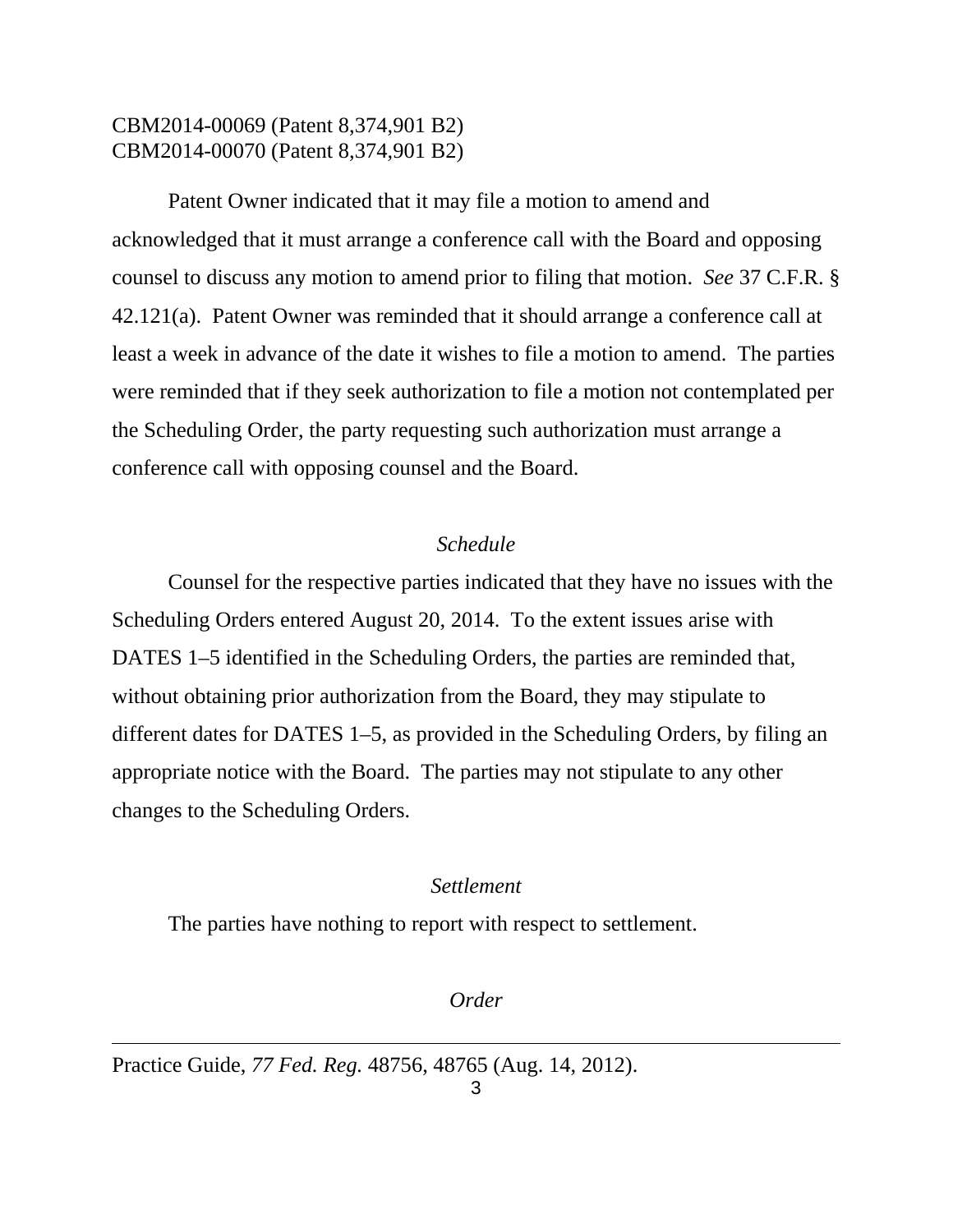# CBM2014-00069 (Patent 8,374,901 B2) CBM2014-00070 (Patent 8,374,901 B2)

Patent Owner indicated that it may file a motion to amend and acknowledged that it must arrange a conference call with the Board and opposing counsel to discuss any motion to amend prior to filing that motion. *See* 37 C.F.R. § 42.121(a). Patent Owner was reminded that it should arrange a conference call at least a week in advance of the date it wishes to file a motion to amend. The parties were reminded that if they seek authorization to file a motion not contemplated per the Scheduling Order, the party requesting such authorization must arrange a conference call with opposing counsel and the Board.

### *Schedule*

Counsel for the respective parties indicated that they have no issues with the Scheduling Orders entered August 20, 2014. To the extent issues arise with DATES 1–5 identified in the Scheduling Orders, the parties are reminded that, without obtaining prior authorization from the Board, they may stipulate to different dates for DATES 1–5, as provided in the Scheduling Orders, by filing an appropriate notice with the Board. The parties may not stipulate to any other changes to the Scheduling Orders.

#### *Settlement*

The parties have nothing to report with respect to settlement.

*Order* 

Practice Guide, *77 Fed. Reg.* 48756, 48765 (Aug. 14, 2012).

 $\overline{a}$